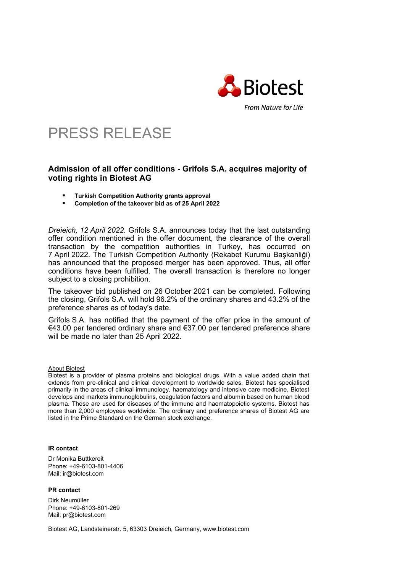

## PRESS RELEASE

## **Admission of all offer conditions - Grifols S.A. acquires majority of voting rights in Biotest AG**

- **Turkish Competition Authority grants approval**
- **Completion of the takeover bid as of 25 April 2022**

*Dreieich, 12 April 2022.* Grifols S.A. announces today that the last outstanding offer condition mentioned in the offer document, the clearance of the overall transaction by the competition authorities in Turkey, has occurred on 7 April 2022. The Turkish Competition Authority (Rekabet Kurumu Başkanliği) has announced that the proposed merger has been approved. Thus, all offer conditions have been fulfilled. The overall transaction is therefore no longer subject to a closing prohibition.

The takeover bid published on 26 October 2021 can be completed. Following the closing, Grifols S.A. will hold 96.2% of the ordinary shares and 43.2% of the preference shares as of today's date.

Grifols S.A. has notified that the payment of the offer price in the amount of €43.00 per tendered ordinary share and €37.00 per tendered preference share will be made no later than 25 April 2022.

About Biotest

Biotest is a provider of plasma proteins and biological drugs. With a value added chain that extends from pre-clinical and clinical development to worldwide sales, Biotest has specialised primarily in the areas of clinical immunology, haematology and intensive care medicine. Biotest develops and markets immunoglobulins, coagulation factors and albumin based on human blood plasma. These are used for diseases of the immune and haematopoietic systems. Biotest has more than 2,000 employees worldwide. The ordinary and preference shares of Biotest AG are listed in the Prime Standard on the German stock exchange.

## **IR contact**

Dr Monika Buttkereit Phone: +49-6103-801-4406 Mail: ir@biotest.com

**PR contact** 

Dirk Neumüller Phone: +49-6103-801-269 Mail: pr@biotest.com

Biotest AG, Landsteinerstr. 5, 63303 Dreieich, Germany, www.biotest.com